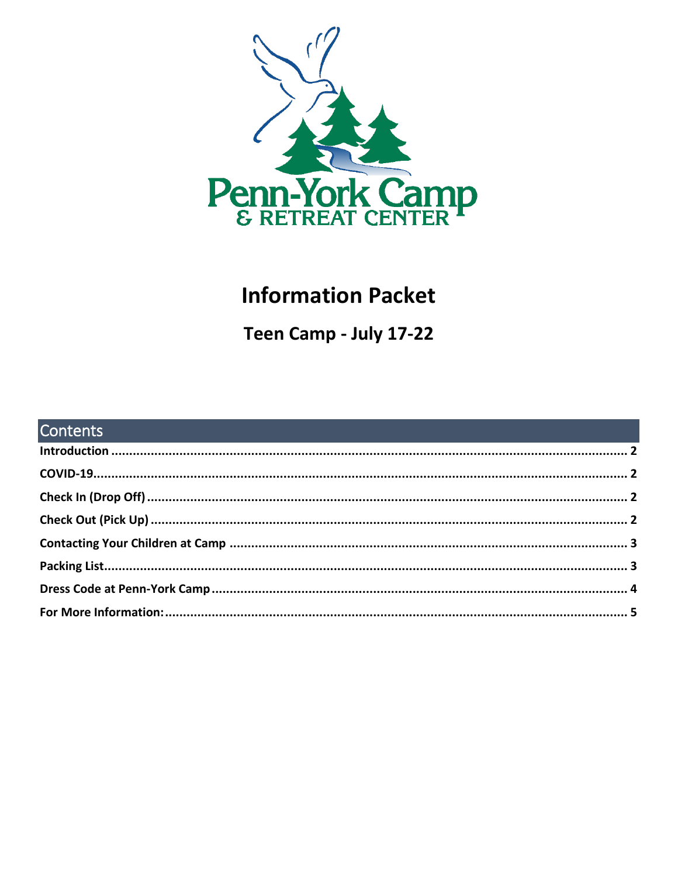

# **Information Packet**

Teen Camp - July 17-22

| <b>Contents Contents Contents Contents Contents and Contents and Contents and Contents and Contents and Contents and Contents and Contents and Contents and Contents and Contents and Contents and Contents and Contents</b> |  |
|------------------------------------------------------------------------------------------------------------------------------------------------------------------------------------------------------------------------------|--|
|                                                                                                                                                                                                                              |  |
|                                                                                                                                                                                                                              |  |
|                                                                                                                                                                                                                              |  |
|                                                                                                                                                                                                                              |  |
|                                                                                                                                                                                                                              |  |
|                                                                                                                                                                                                                              |  |
|                                                                                                                                                                                                                              |  |
|                                                                                                                                                                                                                              |  |
|                                                                                                                                                                                                                              |  |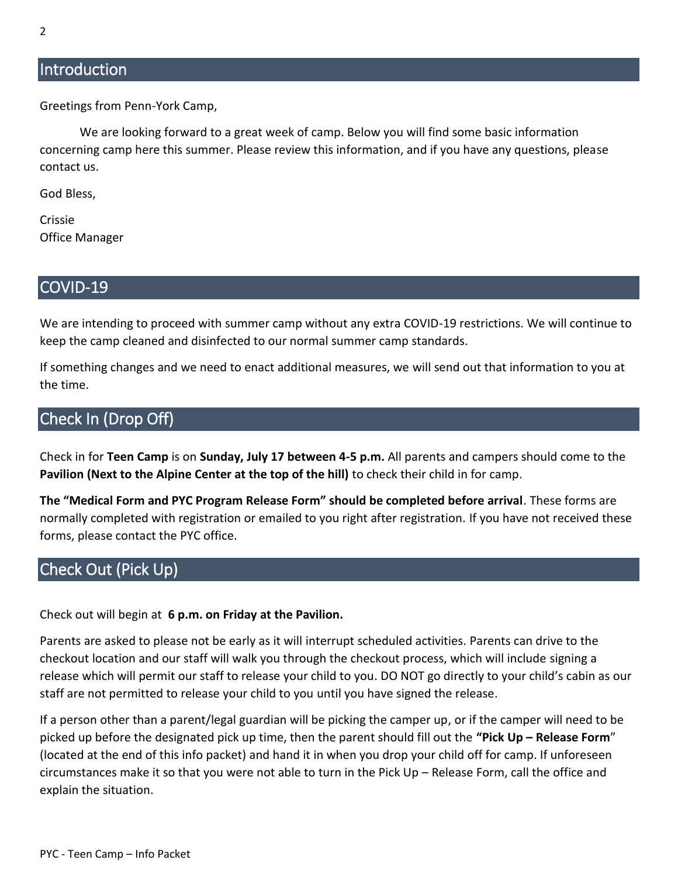## <span id="page-1-0"></span>**Introduction**

Greetings from Penn-York Camp,

We are looking forward to a great week of camp. Below you will find some basic information concerning camp here this summer. Please review this information, and if you have any questions, please contact us.

God Bless,

Crissie Office Manager

#### <span id="page-1-1"></span>COVID-19

We are intending to proceed with summer camp without any extra COVID-19 restrictions. We will continue to keep the camp cleaned and disinfected to our normal summer camp standards.

If something changes and we need to enact additional measures, we will send out that information to you at the time.

# <span id="page-1-2"></span>Check In (Drop Off)

Check in for **Teen Camp** is on **Sunday, July 17 between 4-5 p.m.** All parents and campers should come to the **Pavilion (Next to the Alpine Center at the top of the hill)** to check their child in for camp.

**The "Medical Form and PYC Program Release Form" should be completed before arrival**. These forms are normally completed with registration or emailed to you right after registration. If you have not received these forms, please contact the PYC office.

# <span id="page-1-3"></span>Check Out (Pick Up)

Check out will begin at **6 p.m. on Friday at the Pavilion.**

Parents are asked to please not be early as it will interrupt scheduled activities. Parents can drive to the checkout location and our staff will walk you through the checkout process, which will include signing a release which will permit our staff to release your child to you. DO NOT go directly to your child's cabin as our staff are not permitted to release your child to you until you have signed the release.

If a person other than a parent/legal guardian will be picking the camper up, or if the camper will need to be picked up before the designated pick up time, then the parent should fill out the **"Pick Up – Release Form**" (located at the end of this info packet) and hand it in when you drop your child off for camp. If unforeseen circumstances make it so that you were not able to turn in the Pick Up – Release Form, call the office and explain the situation.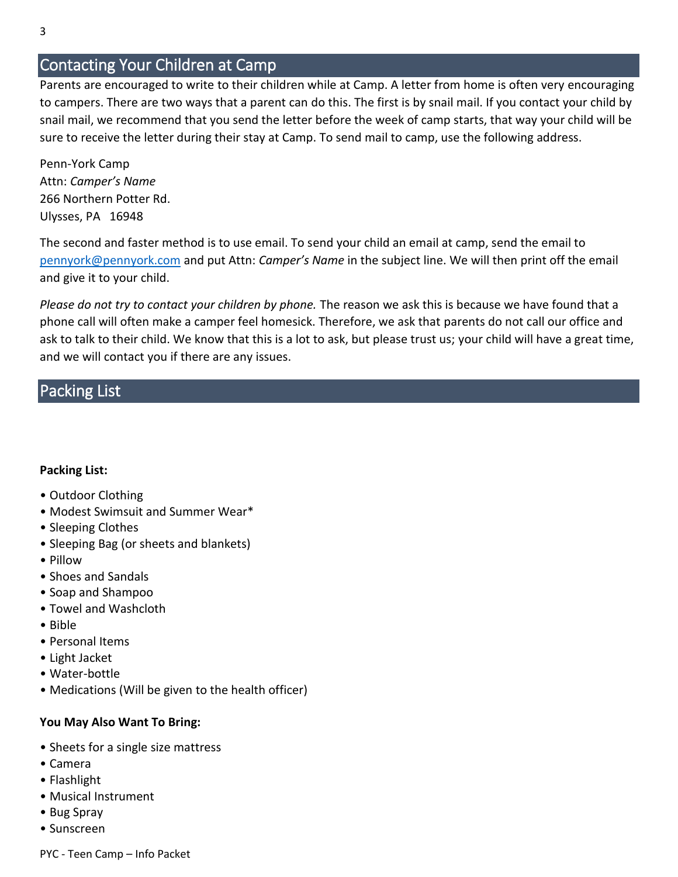# <span id="page-2-0"></span>Contacting Your Children at Camp

Parents are encouraged to write to their children while at Camp. A letter from home is often very encouraging to campers. There are two ways that a parent can do this. The first is by snail mail. If you contact your child by snail mail, we recommend that you send the letter before the week of camp starts, that way your child will be sure to receive the letter during their stay at Camp. To send mail to camp, use the following address.

Penn-York Camp Attn: *Camper's Name* 266 Northern Potter Rd. Ulysses, PA 16948

The second and faster method is to use email. To send your child an email at camp, send the email to [pennyork@pennyork.com](mailto:pennyork@pennyork.com) and put Attn: *Camper's Name* in the subject line. We will then print off the email and give it to your child.

*Please do not try to contact your children by phone.* The reason we ask this is because we have found that a phone call will often make a camper feel homesick. Therefore, we ask that parents do not call our office and ask to talk to their child. We know that this is a lot to ask, but please trust us; your child will have a great time, and we will contact you if there are any issues.

## <span id="page-2-1"></span>Packing List

#### **Packing List:**

- Outdoor Clothing
- Modest Swimsuit and Summer Wear\*
- Sleeping Clothes
- Sleeping Bag (or sheets and blankets)
- Pillow
- Shoes and Sandals
- Soap and Shampoo
- Towel and Washcloth
- Bible
- Personal Items
- Light Jacket
- Water-bottle
- Medications (Will be given to the health officer)

#### **You May Also Want To Bring:**

- Sheets for a single size mattress
- Camera
- Flashlight
- Musical Instrument
- Bug Spray
- Sunscreen

PYC - Teen Camp – Info Packet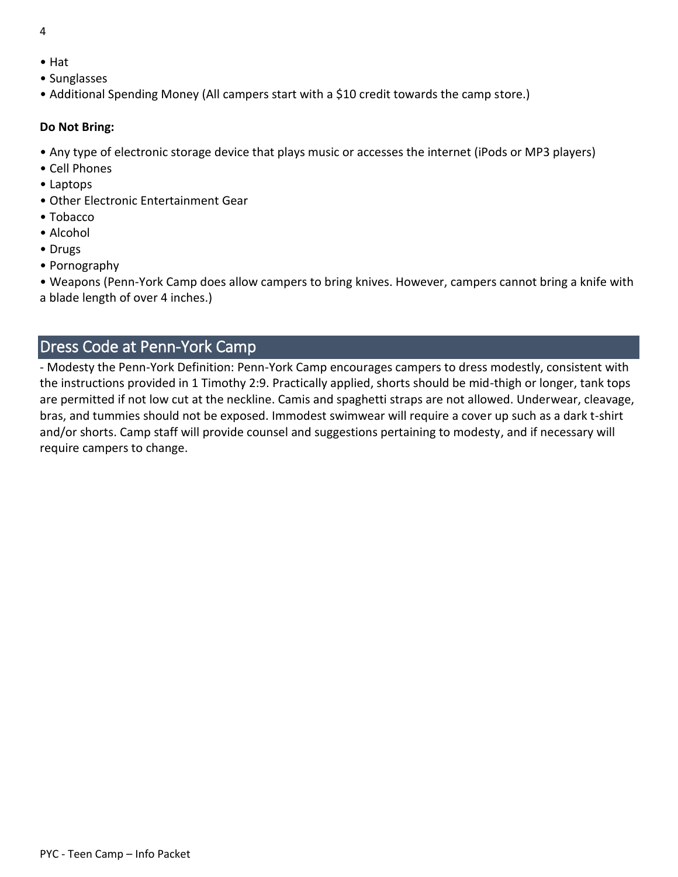- 4
- Hat
- Sunglasses
- Additional Spending Money (All campers start with a \$10 credit towards the camp store.)

#### **Do Not Bring:**

- Any type of electronic storage device that plays music or accesses the internet (iPods or MP3 players)
- Cell Phones
- Laptops
- Other Electronic Entertainment Gear
- Tobacco
- Alcohol
- Drugs
- Pornography

• Weapons (Penn-York Camp does allow campers to bring knives. However, campers cannot bring a knife with a blade length of over 4 inches.)

# <span id="page-3-0"></span>Dress Code at Penn-York Camp

- Modesty the Penn-York Definition: Penn-York Camp encourages campers to dress modestly, consistent with the instructions provided in 1 Timothy 2:9. Practically applied, shorts should be mid-thigh or longer, tank tops are permitted if not low cut at the neckline. Camis and spaghetti straps are not allowed. Underwear, cleavage, bras, and tummies should not be exposed. Immodest swimwear will require a cover up such as a dark t-shirt and/or shorts. Camp staff will provide counsel and suggestions pertaining to modesty, and if necessary will require campers to change.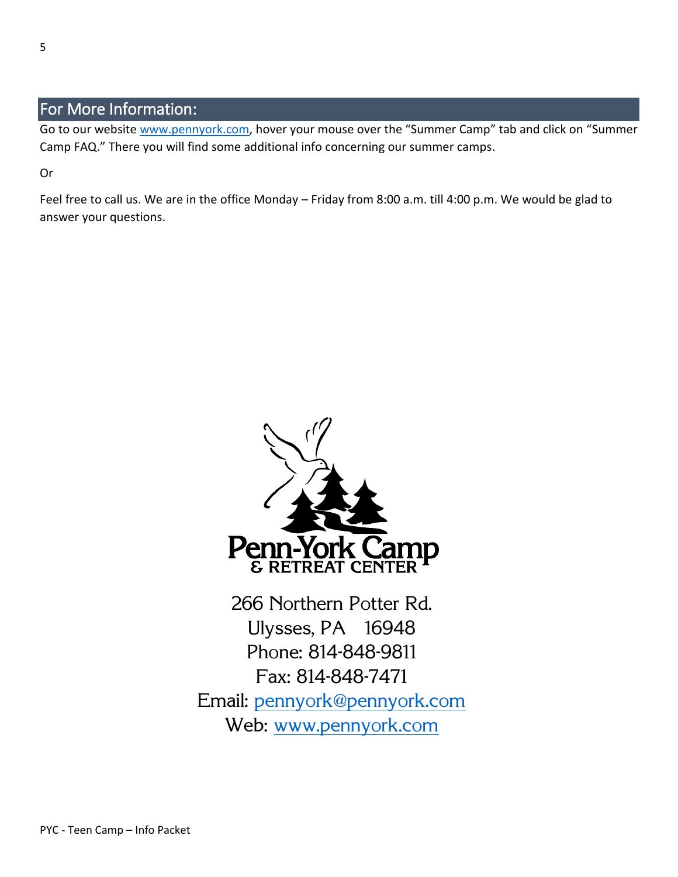# <span id="page-4-0"></span>For More Information:

Go to our website [www.pennyork.com,](http://www.pennyork.com/) hover your mouse over the "Summer Camp" tab and click on "Summer Camp FAQ." There you will find some additional info concerning our summer camps.

Or

Feel free to call us. We are in the office Monday – Friday from 8:00 a.m. till 4:00 p.m. We would be glad to answer your questions.